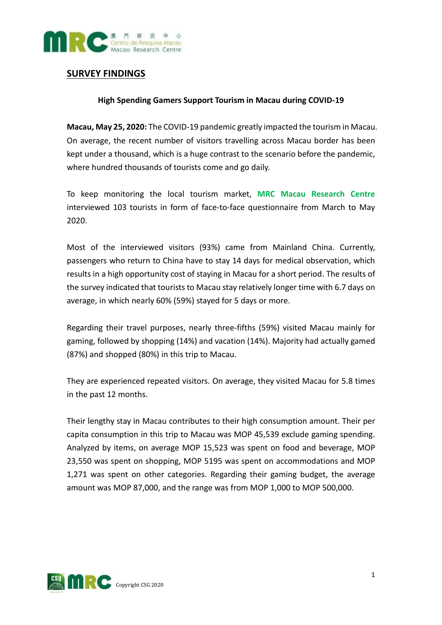

## **SURVEY FINDINGS**

## **High Spending Gamers Support Tourism in Macau during COVID-19**

**Macau, May 25, 2020:** The COVID-19 pandemic greatly impacted the tourism in Macau. On average, the recent number of visitors travelling across Macau border has been kept under a thousand, which is a huge contrast to the scenario before the pandemic, where hundred thousands of tourists come and go daily.

To keep monitoring the local tourism market, **MRC Macau Research Centre** interviewed 103 tourists in form of face-to-face questionnaire from March to May 2020.

Most of the interviewed visitors (93%) came from Mainland China. Currently, passengers who return to China have to stay 14 days for medical observation, which results in a high opportunity cost of staying in Macau for a short period. The results of the survey indicated that tourists to Macau stay relatively longer time with 6.7 days on average, in which nearly 60% (59%) stayed for 5 days or more.

Regarding their travel purposes, nearly three-fifths (59%) visited Macau mainly for gaming, followed by shopping (14%) and vacation (14%). Majority had actually gamed (87%) and shopped (80%) in this trip to Macau.

They are experienced repeated visitors. On average, they visited Macau for 5.8 times in the past 12 months.

Their lengthy stay in Macau contributes to their high consumption amount. Their per capita consumption in this trip to Macau was MOP 45,539 exclude gaming spending. Analyzed by items, on average MOP 15,523 was spent on food and beverage, MOP 23,550 was spent on shopping, MOP 5195 was spent on accommodations and MOP 1,271 was spent on other categories. Regarding their gaming budget, the average amount was MOP 87,000, and the range was from MOP 1,000 to MOP 500,000.